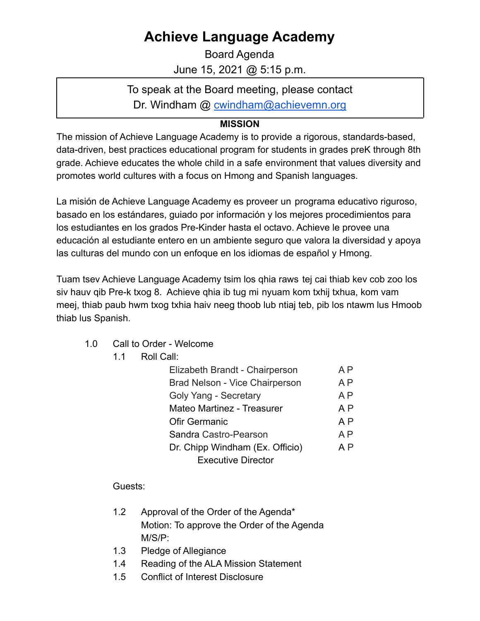## **Achieve Language Academy**

Board Agenda June 15, 2021 @ 5:15 p.m.

To speak at the Board meeting, please contact Dr. Windham @ [cwindham@achievemn.org](mailto:cwindham@achievemn.org)

## **MISSION**

The mission of Achieve Language Academy is to provide a rigorous, standards-based, data-driven, best practices educational program for students in grades preK through 8th grade. Achieve educates the whole child in a safe environment that values diversity and promotes world cultures with a focus on Hmong and Spanish languages.

La misión de Achieve Language Academy es proveer un programa educativo riguroso, basado en los estándares, guiado por información y los mejores procedimientos para los estudiantes en los grados Pre-Kinder hasta el octavo. Achieve le provee una educación al estudiante entero en un ambiente seguro que valora la diversidad y apoya las culturas del mundo con un enfoque en los idiomas de español y Hmong.

Tuam tsev Achieve Language Academy tsim los qhia raws tej cai thiab kev cob zoo los siv hauv qib Pre-k txog 8. Achieve qhia ib tug mi nyuam kom txhij txhua, kom vam meej, thiab paub hwm txog txhia haiv neeg thoob lub ntiaj teb, pib los ntawm lus Hmoob thiab lus Spanish.

- 1.0 Call to Order Welcome
	- 1.1 Roll Call:

| Elizabeth Brandt - Chairperson        | A P            |
|---------------------------------------|----------------|
| <b>Brad Nelson - Vice Chairperson</b> | A <sub>P</sub> |
| Goly Yang - Secretary                 | A <sub>P</sub> |
| <b>Mateo Martinez - Treasurer</b>     | A <sub>P</sub> |
| Ofir Germanic                         | A P            |
| Sandra Castro-Pearson                 | A P            |
| Dr. Chipp Windham (Ex. Officio)       | A P            |
| <b>Executive Director</b>             |                |

Guests:

- 1.2 Approval of the Order of the Agenda\* Motion: To approve the Order of the Agenda M/S/P:
- 1.3 Pledge of Allegiance
- 1.4 Reading of the ALA Mission Statement
- 1.5 Conflict of Interest Disclosure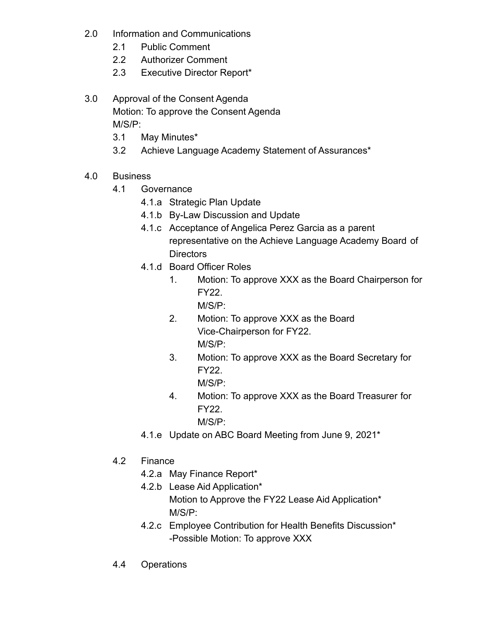- 2.0 Information and Communications
	- 2.1 Public Comment
	- 2.2 Authorizer Comment
	- 2.3 Executive Director Report\*
- 3.0 Approval of the Consent Agenda Motion: To approve the Consent Agenda M/S/P:
	- 3.1 May Minutes\*
	- 3.2 Achieve Language Academy Statement of Assurances\*
- 4.0 Business
	- 4.1 Governance
		- 4.1.a Strategic Plan Update
		- 4.1.b By-Law Discussion and Update
		- 4.1.c Acceptance of Angelica Perez Garcia as a parent representative on the Achieve Language Academy Board of **Directors**
		- 4.1.d Board Officer Roles
			- 1. Motion: To approve XXX as the Board Chairperson for FY22.
				- M/S/P:
			- 2. Motion: To approve XXX as the Board Vice-Chairperson for FY22. M/S/P:
			- 3. Motion: To approve XXX as the Board Secretary for FY22.
				- M/S/P:
			- 4. Motion: To approve XXX as the Board Treasurer for FY22.

M/S/P:

- 4.1.e Update on ABC Board Meeting from June 9, 2021\*
- 4.2 Finance
	- 4.2.a May Finance Report\*
	- 4.2.b Lease Aid Application\* Motion to Approve the FY22 Lease Aid Application\* M/S/P:
	- 4.2.c Employee Contribution for Health Benefits Discussion\* -Possible Motion: To approve XXX
- 4.4 Operations